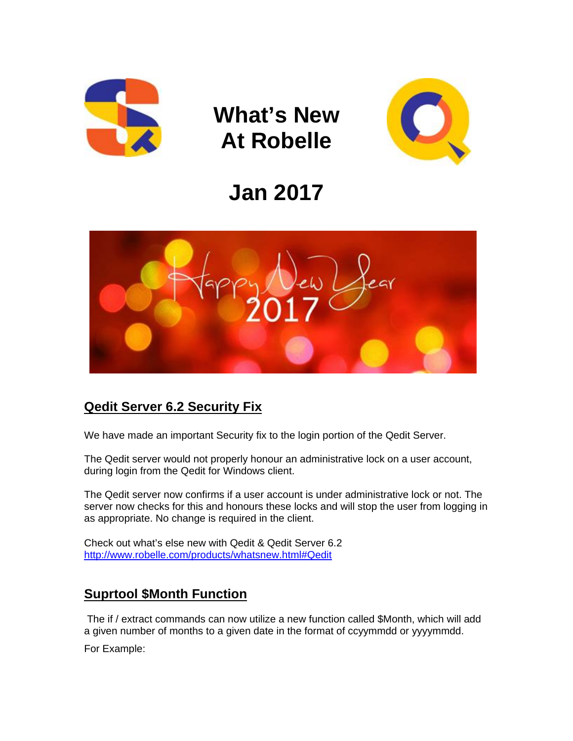

**What's New At Robelle** 



# **Jan 2017**



## **Qedit Server 6.2 Security Fix**

We have made an important Security fix to the login portion of the Qedit Server.

The Qedit server would not properly honour an administrative lock on a user account, during login from the Qedit for Windows client.

The Qedit server now confirms if a user account is under administrative lock or not. The server now checks for this and honours these locks and will stop the user from logging in as appropriate. No change is required in the client.

Check out what's else new with Qedit & Qedit Server 6.2 <http://www.robelle.com/products/whatsnew.html#Qedit>

## **Suprtool \$Month Function**

The if / extract commands can now utilize a new function called \$Month, which will add a given number of months to a given date in the format of ccyymmdd or yyyymmdd.

For Example: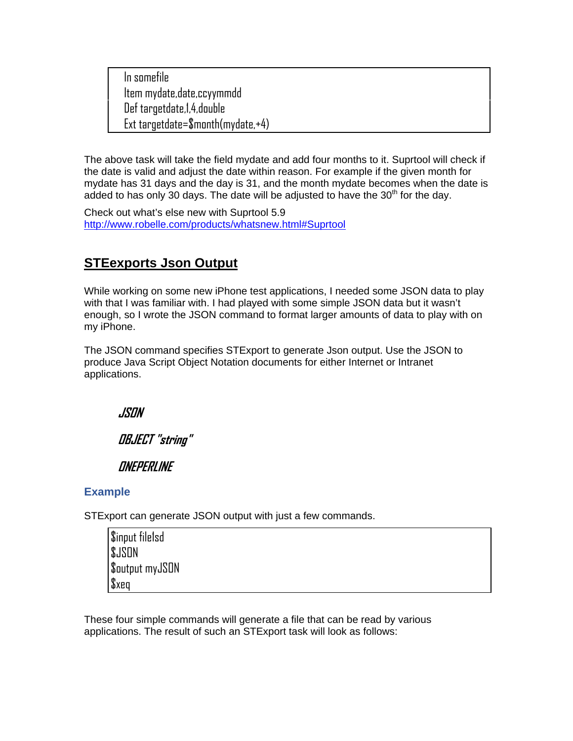In somefile Item mydate,date,ccyymmdd Def targetdate,1,4,double Ext targetdate=\$month(mydate,+4)

The above task will take the field mydate and add four months to it. Suprtool will check if the date is valid and adjust the date within reason. For example if the given month for mydate has 31 days and the day is 31, and the month mydate becomes when the date is added to has only 30 days. The date will be adjusted to have the  $30<sup>th</sup>$  for the day.

Check out what's else new with Suprtool 5.9 <http://www.robelle.com/products/whatsnew.html#Suprtool>

## **STEexports Json Output**

While working on some new iPhone test applications, I needed some JSON data to play with that I was familiar with. I had played with some simple JSON data but it wasn't enough, so I wrote the JSON command to format larger amounts of data to play with on my iPhone.

The JSON command specifies STExport to generate Json output. Use the JSON to produce Java Script Object Notation documents for either Internet or Intranet applications.

**JSON** 

**OBJECT "string"** 

**ONEPERLINE** 

#### **Example**

STExport can generate JSON output with just a few commands.

| \$input file1sd |  |
|-----------------|--|
| <b>SJSON</b>    |  |
| \$output myJSON |  |
| $x_{\text{B}}$  |  |

These four simple commands will generate a file that can be read by various applications. The result of such an STExport task will look as follows: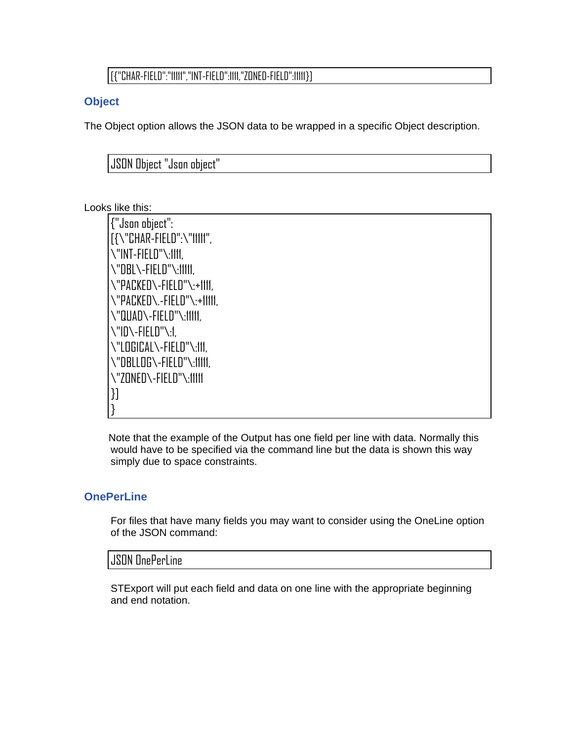#### [{"CHAR-FIELD":"11111","INT-FIELD":1111,"ZONED-FIELD":11111}]

#### **Object**

The Object option allows the JSON data to be wrapped in a specific Object description.

JSON Object "Json object"

#### Looks like this:

{"Json object": [{\"CHAR-FIELD":\"11111", \"INT-FIELD"\:1111, \"DBL\-FIELD"\:11111, \"PACKED\-FIELD"\:+1111, \"PACKED\.-FIELD"\:+11111, \"QUAD\-FIELD"\:11111, \"ID\-FIELD"\:1, \"LOGICAL\-FIELD"\:111, \"DBLLOG\-FIELD"\:11111, \"ZONED\-FIELD"\:11111 }] }

Note that the example of the Output has one field per line with data. Normally this would have to be specified via the command line but the data is shown this way simply due to space constraints.

#### **OnePerLine**

For files that have many fields you may want to consider using the OneLine option of the JSON command:

#### JSON OnePerLine

STExport will put each field and data on one line with the appropriate beginning and end notation.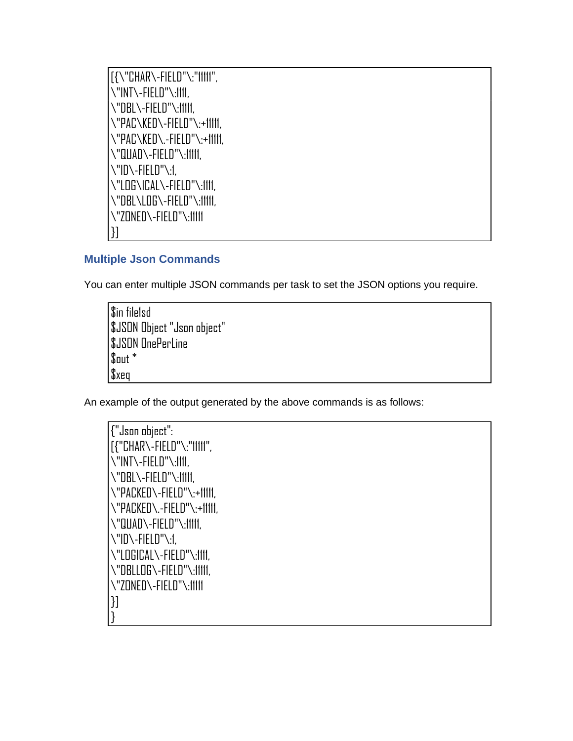[{\"CHAR\-FIELD"\:"11111", \"INT\-FIELD"\:1111, \"DBL\-FIELD"\:11111, \"PAC\KED\-FIELD"\:+11111, \"PAC\KED\.-FIELD"\:+11111, \"QUAD\-FIELD"\:11111, \"ID\-FIELD"\:1, \"LOG\ICAL\-FIELD"\:1111, \"DBL\LOG\-FIELD"\:11111, \"ZONED\-FIELD"\:11111 }]

#### **Multiple Json Commands**

You can enter multiple JSON commands per task to set the JSON options you require.

\$in file1sd \$JSON Object "Json object" \$JSON OnePerLine  $\mathsf{S}$ out  $^*$ \$xeq

An example of the output generated by the above commands is as follows:

{"Json object": [{"CHAR\-FIELD"\:"11111", \"INT\-FIELD"\:1111, \"DBL\-FIELD"\:11111, \"PACKED\-FIELD"\:+11111, \"PACKED\.-FIELD"\:+11111, \"QUAD\-FIELD"\:11111, \"ID\-FIELD"\:1, \"LOGICAL\-FIELD"\:1111, \"DBLLOG\-FIELD"\:11111, \"ZONED\-FIELD"\:11111 }] }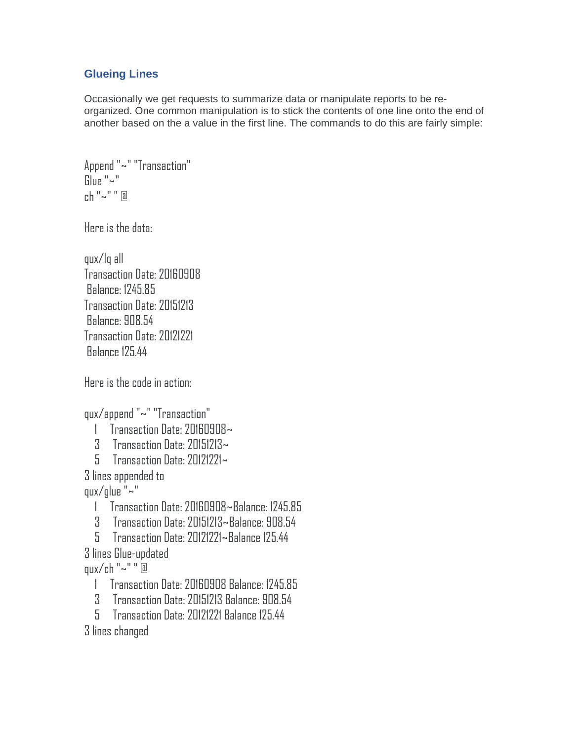#### **Glueing Lines**

Occasionally we get requests to summarize data or manipulate reports to be reorganized. One common manipulation is to stick the contents of one line onto the end of another based on the a value in the first line. The commands to do this are fairly simple:

Append "~" "Transaction" Glue "~" ch "~" " @

Here is the data:

qux/lq all Transaction Date: 20160908 Balance: 1245.85 Transaction Date: 20151213 Balance: 908.54 Transaction Date: 20121221 Balance 125.44

Here is the code in action:

qux/append "~" "Transaction"

- 1 Transaction Date: 20160908~
- 3 Transaction Date: 20151213~
- 5 Transaction Date: 20121221~

3 lines appended to

qux/glue "~"

- 1 Transaction Date: 20160908~Balance: 1245.85
- 3 Transaction Date: 20151213~Balance: 908.54
- 5 Transaction Date: 20121221~Balance 125.44
- 3 lines Glue-updated
- qux/ch "~" " @
	- 1 Transaction Date: 20160908 Balance: 1245.85
	- 3 Transaction Date: 20151213 Balance: 908.54
	- 5 Transaction Date: 20121221 Balance 125.44
- 3 lines changed